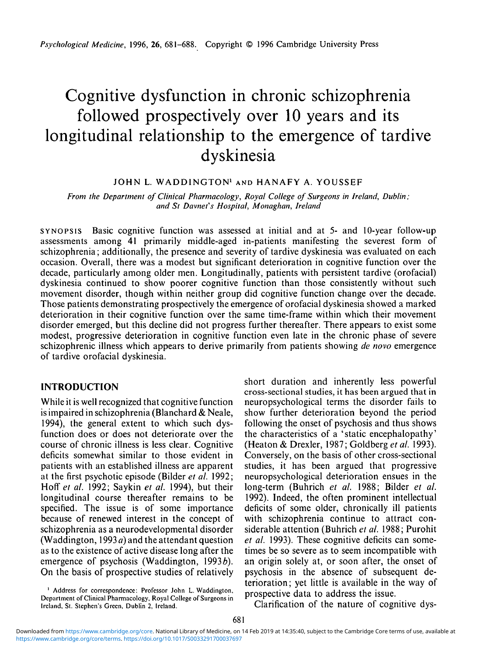# Cognitive dysfunction in chronic schizophrenia followed prospectively over 10 years and its longitudinal relationship to the emergence of tardive dyskinesia

## JOHN L. WADDINGTON<sup>1</sup> and HANAFY A. YOUSSEF

*From the Department of Clinical Pharmacology, Royal College of Surgeons in Ireland, Dublin; and St Davnet's Hospital, Monaghan, Ireland*

SYNOPSIS Basic cognitive function was assessed at initial and at 5- and 10-year follow-up assessments among 41 primarily middle-aged in-patients manifesting the severest form of schizophrenia; additionally, the presence and severity of tardive dyskinesia was evaluated on each occasion. Overall, there was a modest but significant deterioration in cognitive function over the decade, particularly among older men. Longitudinally, patients with persistent tardive (orofacial) dyskinesia continued to show poorer cognitive function than those consistently without such movement disorder, though within neither group did cognitive function change over the decade. Those patients demonstrating prospectively the emergence of orofacial dyskinesia showed a marked deterioration in their cognitive function over the same time-frame within which their movement disorder emerged, but this decline did not progress further thereafter. There appears to exist some modest, progressive deterioration in cognitive function even late in the chronic phase of severe schizophrenic illness which appears to derive primarily from patients showing *de novo* emergence of tardive orofacial dyskinesia.

## **INTRODUCTION**

While it is well recognized that cognitive function is impaired in schizophrenia (Blanchard & Neale, 1994), the general extent to which such dysfunction does or does not deteriorate over the course of chronic illness is less clear. Cognitive deficits somewhat similar to those evident in patients with an established illness are apparent at the first psychotic episode (Bilder *et al.* 1992; Hoff et al. 1992; Saykin et al. 1994), but their longitudinal course thereafter remains to be specified. The issue is of some importance because of renewed interest in the concept of schizophrenia as a neurodevelopmental disorder (Waddington, 1993 *a)* and the attendant question as to the existence of active disease long after the emergence of psychosis (Waddington, 1993b). On the basis of prospective studies of relatively

<sup>1</sup> Address for correspondence: Professor John L. Waddington, Department of Clinical Pharmacology, Royal College of Surgeons in Ireland, St. Stephen's Green, Dublin 2, Ireland.

short duration and inherently less powerful cross-sectional studies, it has been argued that in neuropsychological terms the disorder fails to show further deterioration beyond the period following the onset of psychosis and thus shows the characteristics of a 'static encephalopathy' (Heaton & Drexler, 1987; Goldberg *et al.* 1993). Conversely, on the basis of other cross-sectional studies, it has been argued that progressive neuropsychological deterioration ensues in the long-term (Buhrich *et al.* 1988; Bilder *et al.* 1992). Indeed, the often prominent intellectual deficits of some older, chronically ill patients with schizophrenia continue to attract considerable attention (Buhrich *et al.* 1988; Purohit *et al.* 1993). These cognitive deficits can sometimes be so severe as to seem incompatible with an origin solely at, or soon after, the onset of psychosis in the absence of subsequent deterioration; yet little is available in the way of prospective data to address the issue.

Clarification of the nature of cognitive dys-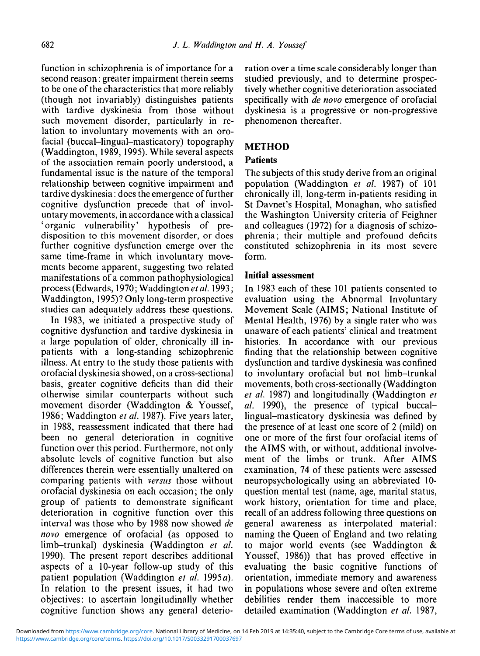function in schizophrenia is of importance for a second reason: greater impairment therein seems to be one of the characteristics that more reliably (though not invariably) distinguishes patients with tardive dyskinesia from those without such movement disorder, particularly in relation to involuntary movements with an orofacial (buccal-lingual—masticatory) topography (Waddington, 1989, 1995). While several aspects of the association remain poorly understood, a fundamental issue is the nature of the temporal relationship between cognitive impairment and tardive dyskinesia: does the emergence of further cognitive dysfunction precede that of involuntary movements, in accordance with a classical 'organic vulnerability' hypothesis of predisposition to this movement disorder, or does further cognitive dysfunction emerge over the same time-frame in which involuntary movements become apparent, suggesting two related manifestations of a common pathophysiological process (Edwards, 1970; Waddington *et al.* 1993; Waddington, 1995)? Only long-term prospective studies can adequately address these questions.

In 1983, we initiated a prospective study of cognitive dysfunction and tardive dyskinesia in a large population of older, chronically ill inpatients with a long-standing schizophrenic illness. At entry to the study those patients with orofacial dyskinesia showed, on a cross-sectional basis, greater cognitive deficits than did their otherwise similar counterparts without such movement disorder (Waddington & Youssef, 1986; Waddington *et al.* 1987). Five years later, in 1988, reassessment indicated that there had been no general deterioration in cognitive function over this period. Furthermore, not only absolute levels of cognitive function but also differences therein were essentially unaltered on comparing patients with *versus* those without orofacial dyskinesia on each occasion; the only group of patients to demonstrate significant deterioration in cognitive function over this interval was those who by 1988 now showed *de novo* emergence of orofacial (as opposed to limb-trunkal) dyskinesia (Waddington *et al.* 1990). The present report describes additional aspects of a 10-year follow-up study of this patient population (Waddington *et al.* 1995 a). In relation to the present issues, it had two objectives: to ascertain longitudinally whether cognitive function shows any general deterioration over a time scale considerably longer than studied previously, and to determine prospectively whether cognitive deterioration associated specifically with *de novo* emergence of orofacial dyskinesia is a progressive or non-progressive phenomenon thereafter.

# **METHOD**

# **Patients**

The subjects of this study derive from an original population (Waddington *et al.* 1987) of 101 chronically ill, long-term in-patients residing in St Davnet's Hospital, Monaghan, who satisfied the Washington University criteria of Feighner and colleagues (1972) for a diagnosis of schizophrenia; their multiple and profound deficits constituted schizophrenia in its most severe form.

## **Initial assessment**

In 1983 each of these 101 patients consented to evaluation using the Abnormal Involuntary Movement Scale (AIMS; National Institute of Mental Health, 1976) by a single rater who was unaware of each patients' clinical and treatment histories. In accordance with our previous finding that the relationship between cognitive dysfunction and tardive dyskinesia was confined to involuntary orofacial but not limb-trunkal movements, both cross-sectionally (Waddington *et al.* 1987) and longitudinally (Waddington *et al.* 1990), the presence of typical buccallingual-masticatory dyskinesia was defined by the presence of at least one score of 2 (mild) on one or more of the first four orofacial items of the AIMS with, or without, additional involvement of the limbs or trunk. After AIMS examination, 74 of these patients were assessed neuropsychologically using an abbreviated 10 question mental test (name, age, marital status, work history, orientation for time and place, recall of an address following three questions on general awareness as interpolated material: naming the Queen of England and two relating to major world events (see Waddington & Youssef, 1986)) that has proved effective in evaluating the basic cognitive functions of orientation, immediate memory and awareness in populations whose severe and often extreme debilities render them inaccessible to more detailed examination (Waddington *et al.* 1987,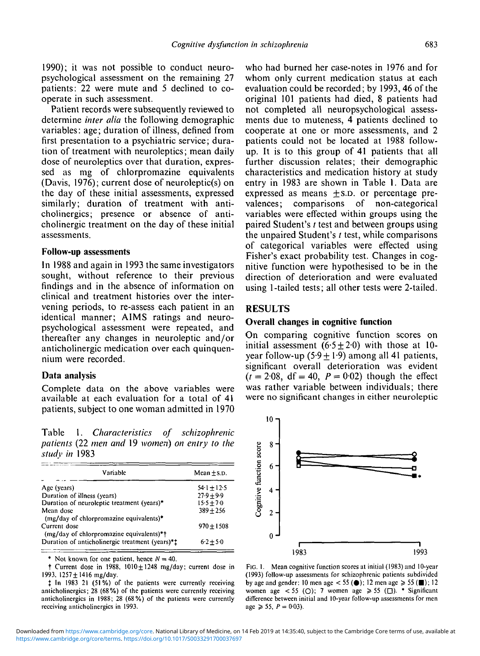1990); it was not possible to conduct neuropsychological assessment on the remaining 27 patients: 22 were mute and 5 declined to cooperate in such assessment.

Patient records were subsequently reviewed to determine *inter alia* the following demographic variables: age; duration of illness, defined from first presentation to a psychiatric service; duration of treatment with neuroleptics; mean daily dose of neuroleptics over that duration, expressed as mg of chlorpromazine equivalents (Davis, 1976); current dose of neuroleptic(s) on the day of these initial assessments, expressed similarly; duration of treatment with anticholinergics; presence or absence of anticholinergic treatment on the day of these initial assessments.

#### **Follow-up assessments**

**In** 1988 and again in 1993 the same investigators sought, without reference to their previous findings and in the absence of information on clinical and treatment histories over the intervening periods, to re-assess each patient in an identical manner; AIMS ratings and neuropsychological assessment were repeated, and thereafter any changes in neuroleptic and/or anticholinergic medication over each quinquennium were recorded.

#### **Data analysis**

Complete data on the above variables were available at each evaluation for a total of 41 patients, subject to one woman admitted in 1970

Table 1. *Characteristics of schizophrenic patients* (22 *men and* 19 *women) on entry to the stuch in* 1983

| Variable                                                 | $Mean + s.p.$   |
|----------------------------------------------------------|-----------------|
| Age (years)                                              | $541 + 125$     |
| Duration of illness (years)                              | $27.9 + 9.9$    |
| Duration of neuroleptic treatment (years)*               | $15.5 + 7.0$    |
| Mean dose<br>(mg/day of chlorpromazine equivalents)*     | $389 + 256$     |
| Current dose<br>(mg/day of chlorpromazine equivalents)*† | $970 + 1508$    |
| Duration of anticholinergic treatment (years)*1          | $6 - 2 + 5 - 0$ |

\* Not known for one patient, hence  $N = 40$ .

 $\dagger$  Current dose in 1988, 1010 $\pm$ 1248 mg/day; current dose in 1993. 1257± 1416 mg/day.

{ In 1983 21 (51%) of the patients were currently receiving anticholinergics;  $28(68\%)$  of the patients were currently receiving anticholincrgics in 1988; 28 (68%) of the patients were currently receiving anticholinergics in 1993.

who had burned her case-notes in 1976 and for whom only current medication status at each evaluation could be recorded; by 1993, 46 of the original 101 patients had died, 8 patients had not completed all neuropsychological assessments due to muteness, 4 patients declined to cooperate at one or more assessments, and 2 patients could not be located at 1988 followup. It is to this group of 41 patients that all further discussion relates; their demographic characteristics and medication history at study entry in 1983 are shown in Table 1. Data are expressed as means  $\pm$  s.D. or percentage prevalences; comparisons of non-categorical variables were effected within groups using the paired Student's  $t$  test and between groups using the unpaired Student's *t* test, while comparisons of categorical variables were effected using Fisher's exact probability test. Changes in cognitive function were hypothesised to be in the direction of deterioration and were evaluated using 1-tailed tests; all other tests were 2-tailed.

#### **RESULTS**

#### **Overall changes in cognitive function**

On comparing cognitive function scores on initial assessment  $(6.5 \pm 2.0)$  with those at 10year follow-up (5.9  $\pm$  1.9) among all 41 patients, significant overall deterioration was evident  $(t = 2.08, df = 40, P = 0.02)$  though the effect was rather variable between individuals; there were no significant changes in either neuroleptic



FIG. 1. Mean cognitive function scores at initial (1983) and 10-year (1993) follow-up assessments for schizophrenic patients subdivided by age and gender: 10 men age < 55 ( $\bullet$ ); 12 men age  $\geq$  55 ( $\bullet$ ); 12 women age < 55 (Q); 7 women age  $\geq$  55 ( $\Box$ ). \* Significant difference between initial and 10-year follow-up assessments for men  $age \ge 55$ ,  $P = 0.03$ ).

[https://www.cambridge.org/core/terms.](https://www.cambridge.org/core/terms) <https://doi.org/10.1017/S0033291700037697> Downloaded from [https://www.cambridge.org/core.](https://www.cambridge.org/core) National Library of Medicine, on 14 Feb 2019 at 14:35:40, subject to the Cambridge Core terms of use, available at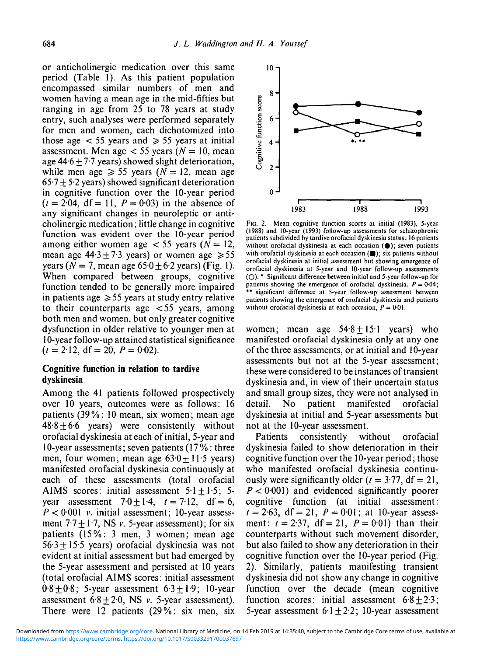or anticholinergic medication over this same period (Table 1). As this patient population encompassed similar numbers of men and women having a mean age in the mid-fifties but ranging in age from 25 to 78 years at study entry, such analyses were performed separately for men and women, each dichotomized into those age  $\lt$  55 years and  $\ge$  55 years at initial assessment. Men age  $<$  55 years ( $N = 10$ , mean age  $44.6 + 7.7$  years) showed slight deterioration, while men age  $\geq 55$  years (N = 12, mean age  $65.7 + 5.2$  years) showed significant deterioration in cognitive function over the 10-year period  $(t = 2.04, df = 11, P = 0.03)$  in the absence of any significant changes in neuroleptic or anticholinergic medication; little change in cognitive function was evident over the 10-year period among either women age  $<$  55 years ( $N = 12$ , mean age  $44.3 \pm 7.3$  years) or women age  $\ge 55$ years ( $N = 7$ , mean age  $65.0 \pm 6.2$  years) (Fig. 1). When compared between groups, cognitive function tended to be generally more impaired in patients age  $\geq 55$  years at study entry relative to their counterparts age  $\lt$  55 years, among both men and women, but only greater cognitive dysfunction in older relative to younger men at 10-year follow-up attained statistical significance  $(t = 2.12, df = 20, P = 0.02)$ .

## **Cognitive function in relation to tardive dyskinesia**

Among the 41 patients followed prospectively over 10 years, outcomes were as follows: 16 patients (39%: 10 mean, six women; mean age  $48.8 + 6.6$  years) were consistently without orofacial dyskinesia at each of initial, 5-year and 10-year assessments; seven patients (17%: three men, four women; mean age  $63.0 \pm 11.5$  years) manifested orofacial dyskinesia continuously at each of these assessments (total orofacial AIMS scores: initial assessment  $5.1 \pm 1.5$ ; 5year assessment  $7.0 \pm 1.4$ ,  $t = 7.12$ , df = 6,  $P < 0.001$  *v.* initial assessment; 10-year assessment  $7.7 \pm 1.7$ , NS v. 5-year assessment); for six patients (15%: 3 men, 3 women; mean age  $56.3 \pm 15.5$  years) orofacial dyskinesia was not evident at initial assessment but had emerged by the 5-year assessment and persisted at 10 years (total orofacial AIMS scores: initial assessment  $0.8 \pm 0.8$ ; 5-year assessment  $6.3 \pm 1.9$ ; 10-year assessment  $6.8 \pm 2.0$ , NS v. 5-year assessment). There were 12 patients (29%: six men, six



FIG. 2. Mean cognitive function scores at initial (1983), 5-year (1988) and 10-year (1993) follow-up assessments for schizophrenic patients subdivided by tardive orofacial dyskinesia status: 16 patients without orofacial dyskinesia at each occasion (.); seven patients with orofacial dyskinesia at each occasion  $(\blacksquare)$ ; six patients without orofacial dyskinesia at initial assessment but showing emergence of orofacial dyskinesia at 5-year and 10-year follow-up assessments (O)- \* Significant difference between initial and 5-year follow-up for patients showing the emergence of orofacial dyskinesia,  $P = 0.04$ ; significant difference at 5-year follow-up assessment between patients showing the emergence of orofacial dyskinesia and patients without orofacial dyskinesia at each occasion,  $P = 0.01$ .

women; mean age  $54.8 \pm 15.1$  years) who manifested orofacial dyskinesia only at any one of the three assessments, or at initial and 10-year assessments but not at the 5-year assessment; these were considered to be instances of transient dyskinesia and, in view of their uncertain status and small group sizes, they were not analysed in<br>detail. No patient manifested orofacial detail. No patient manifested dyskinesia at initial and 5-year assessments but not at the 10-year assessment.

Patients consistently without orofacial dyskinesia failed to show deterioration in their cognitive function over the 10-year period; those who manifested orofacial dyskinesia continuously were significantly older ( $t = 3.77$ , df = 21, *P <* 0-001) and evidenced significantly poorer cognitive function (at initial assessment:  $t = 2.63$ , df = 21,  $P = 0.01$ ; at 10-year assessment:  $t = 2.37$ ,  $df = 21$ ,  $P = 0.01$ ) than their counterparts without such movement disorder, but also failed to show any deterioration in their cognitive function over the 10-year period (Fig. 2). Similarly, patients manifesting transient dyskinesia did not show any change in cognitive function over the decade (mean cognitive function scores: initial assessment  $6.8 \pm 2.3$ ; 5-year assessment  $6.1 \pm 2.2$ ; 10-year assessment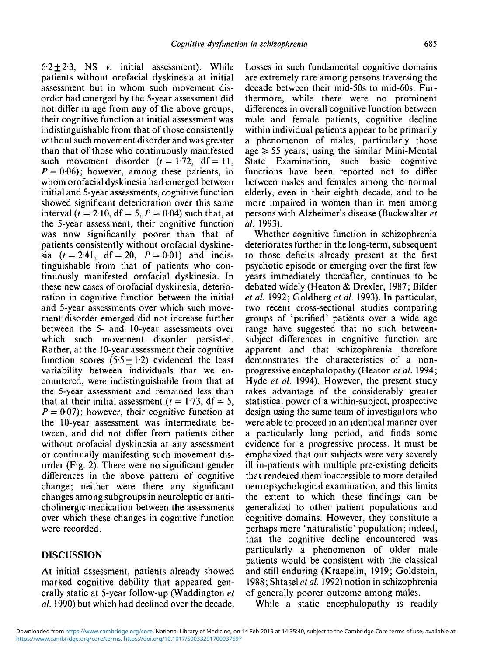$6.2 + 2.3$ . NS v. initial assessment). While patients without orofacial dyskinesia at initial assessment but in whom such movement disorder had emerged by the 5-year assessment did not differ in age from any of the above groups, their cognitive function at initial assessment was indistinguishable from that of those consistently without such movement disorder and was greater than that of those who continuously manifested such movement disorder  $(t = 1.72, df = 11,$  $P = 0.06$ ; however, among these patients, in whom orofacial dyskinesia had emerged between initial and 5-year assessments, cognitive function showed significant deterioration over this same interval ( $t = 2.10$ , df = 5,  $P = 0.04$ ) such that, at the 5-year assessment, their cognitive function was now significantly poorer than that of patients consistently without orofacial dyskinesia  $(t = 2.41, df = 20, P = 0.01)$  and indistinguishable from that of patients who continuously manifested orofacial dyskinesia. In these new cases of orofacial dyskinesia, deterioration in cognitive function between the initial and 5-year assessments over which such movement disorder emerged did not increase further between the 5- and 10-year assessments over which such movement disorder persisted. Rather, at the 10-year assessment their cognitive function scores  $(5.5+1.2)$  evidenced the least variability between individuals that we encountered, were indistinguishable from that at the 5-year assessment and remained less than that at their initial assessment  $(t = 1.73, df = 5,$  $P = 0.07$ ; however, their cognitive function at the 10-year assessment was intermediate between, and did not differ from patients either without orofacial dyskinesia at any assessment or continually manifesting such movement disorder (Fig. 2). There were no significant gender differences in the above pattern of cognitive change; neither were there any significant changes among subgroups in neuroleptic or anticholinergic medication between the assessments over which these changes in cognitive function were recorded.

### **DISCUSSION**

At initial assessment, patients already showed marked cognitive debility that appeared generally static at 5-year follow-up (Waddington *et al.* 1990) but which had declined over the decade. Losses in such fundamental cognitive domains are extremely rare among persons traversing the decade between their mid-50s to mid-60s. Furthermore, while there were no prominent differences in overall cognitive function between male and female patients, cognitive decline within individual patients appear to be primarily a phenomenon of males, particularly those age  $\geq 55$  years; using the similar Mini-Mental State Examination, such basic cognitive functions have been reported not to differ between males and females among the normal elderly, even in their eighth decade, and to be more impaired in women than in men among persons with Alzheimer's disease (Buckwalter *et al.* 1993).

Whether cognitive function in schizophrenia deteriorates further in the long-term, subsequent to those deficits already present at the first psychotic episode or emerging over the first few years immediately thereafter, continues to be debated widely (Heaton & Drexler, 1987; Bilder *et al.* 1992; Goldberg *et al.* 1993). In particular, two recent cross-sectional studies comparing groups of 'purified' patients over a wide age range have suggested that no such betweensubject differences in cognitive function are apparent and that schizophrenia therefore demonstrates the characteristics of a nonprogressive encephalopathy (Heaton *et al.* 1994; Hyde *et al.* 1994). However, the present study takes advantage of the considerably greater statistical power of a within-subject, prospective design using the same team of investigators who were able to proceed in an identical manner over a particularly long period, and finds some evidence for a progressive process. It must be emphasized that our subjects were very severely ill in-patients with multiple pre-existing deficits that rendered them inaccessible to more detailed neuropsychological examination, and this limits the extent to which these findings can be generalized to other patient populations and cognitive domains. However, they constitute a perhaps more 'naturalistic' population; indeed, that the cognitive decline encountered was particularly a phenomenon of older male patients would be consistent with the classical and still enduring (Kraepelin, 1919; Goldstein, 1988; Shtasel *etal.X* 992) notion in schizophrenia of generally poorer outcome among males.

While a static encephalopathy is readily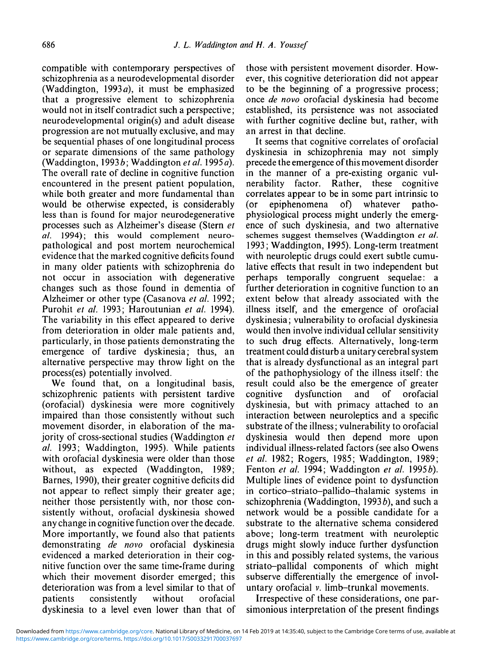compatible with contemporary perspectives of schizophrenia as a neurodevelopmental disorder (Waddington, 1993 $a$ ), it must be emphasized that a progressive element to schizophrenia would not in itself contradict such a perspective; neurodevelopmental origin(s) and adult disease progression are not mutually exclusive, and may be sequential phases of one longitudinal process or separate dimensions of the same pathology (Waddington, 19936; Waddington *et al.* 1995 a). The overall rate of decline in cognitive function encountered in the present patient population, while both greater and more fundamental than would be otherwise expected, is considerably less than is found for major neurodegenerative processes such as Alzheimer's disease (Stern *et al.* 1994); this would complement neuropathological and post mortem neurochemical evidence that the marked cognitive deficits found in many older patients with schizophrenia do not occur in association with degenerative changes such as those found in dementia of Alzheimer or other type (Casanova *et al.* 1992; Purohit *et al.* 1993; Haroutunian *et al.* 1994). The variability in this effect appeared to derive from deterioration in older male patients and, particularly, in those patients demonstrating the emergence of tardive dyskinesia; thus, an alternative perspective may throw light on the process(es) potentially involved.

We found that, on a longitudinal basis, schizophrenic patients with persistent tardive (orofacial) dyskinesia were more cognitively impaired than those consistently without such movement disorder, in elaboration of the majority of cross-sectional studies (Waddington *et al.* 1993; Waddington, 1995). While patients with orofacial dyskinesia were older than those without, as expected (Waddington, 1989; Barnes, 1990), their greater cognitive deficits did not appear to reflect simply their greater age; neither those persistently with, nor those consistently without, orofacial dyskinesia showed any change in cognitive function over the decade. More importantly, we found also that patients demonstrating *de novo* orofacial dyskinesia evidenced a marked deterioration in their cognitive function over the same time-frame during which their movement disorder emerged; this deterioration was from a level similar to that of patients consistently without orofacial dyskinesia to a level even lower than that of

those with persistent movement disorder. However, this cognitive deterioration did not appear to be the beginning of a progressive process; once *de novo* orofacial dyskinesia had become established, its persistence was not associated with further cognitive decline but, rather, with an arrest in that decline.

It seems that cognitive correlates of orofacial dyskinesia in schizophrenia may not simply precede the emergence of this movement disorder in the manner of a pre-existing organic vulnerability factor. Rather, these cognitive correlates appear to be in some part intrinsic to<br>(or epiphenomena of) whatever pathoepiphenomena physiological process might underly the emergence of such dyskinesia, and two alternative schemes suggest themselves (Waddington *et al.* 1993; Waddington, 1995). Long-term treatment with neuroleptic drugs could exert subtle cumulative effects that result in two independent but perhaps temporally congruent sequelae: a further deterioration in cognitive function to an extent below that already associated with the illness itself, and the emergence of orofacial dyskinesia; vulnerability to orofacial dyskinesia would then involve individual cellular sensitivity to such drug effects. Alternatively, long-term treatment could disturb a unitary cerebral system that is already dysfunctional as an integral part of the pathophysiology of the illness itself: the result could also be the emergence of greater<br>cognitive dysfunction and of orofacial dysfunction dyskinesia, but with primacy attached to an interaction between neuroleptics and a specific substrate of the illness; vulnerability to orofacial dyskinesia would then depend more upon individual illness-related factors (see also Owens *et al.* 1982; Rogers, 1985; Waddington, 1989; Fenton et al. 1994; Waddington et al. 1995b). Multiple lines of evidence point to dysfunction in cortico-striato-pallido-thalamic systems in schizophrenia (Waddington, 1993 $b$ ), and such a network would be a possible candidate for a substrate to the alternative schema considered above; long-term treatment with neuroleptic drugs might slowly induce further dysfunction in this and possibly related systems, the various striato—pallidal components of which might subserve differentially the emergence of involuntary orofacial v. limb-trunkal movements.

Irrespective of these considerations, one parsimonious interpretation of the present findings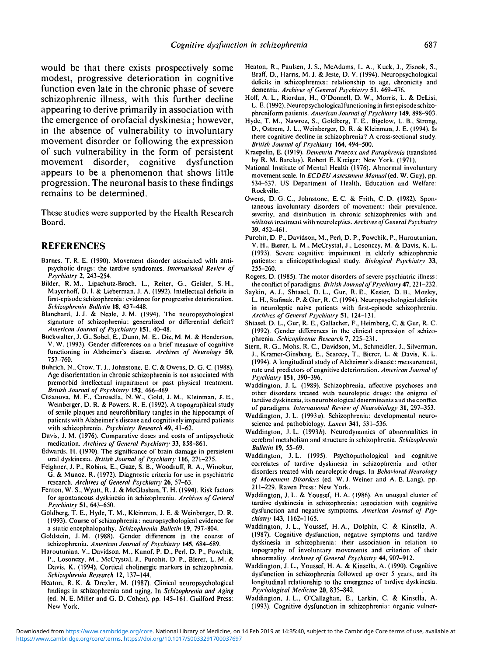would be that there exists prospectively some modest, progressive deterioration in cognitive function even late in the chronic phase of severe schizophrenic illness, with this further decline appearing to derive primarily in association with the emergence of orofacial dyskinesia; however, in the absence of vulnerability to involuntary movement disorder or following the expression of such vulnerability in the form of persistent movement disorder, cognitive dysfunction appears to be a phenomenon that shows little progression. The neuronal basis to these findings remains to be determined.

These studies were supported by the Health Research Board.

#### REFERENCES

- Barnes. T. R. E. (1990). Movement disorder associated with antipsychotic drugs: the tardive syndromes. *International Review of Psychiatry* 2. 243-254.
- Bilder. R. M.. Lipschutz-Broch. L., Reiter, G.. Geisler, S. H., Maycrhoff, D. 1. & Lieberman. J. A. (1992). Intellectual deficits in first-episode schizophrenia: evidence for progressive deterioration. *Schizophrenia Bulletin* 18, 437-448.
- Blanchard. J.J. & Neale, J. M. (1994). The neuropsychological signature of schizophrenia: generalized or differential deficit? *American Journal of Psychiatry* **151,** 40-48.
- Buckwaltcr, J. G.. Sobcl, E.. Dunn, M. E., Diz, M. M. & Henderson, V. W. (1993). Gender differences on a brief measure of cognitive functioning in Alzheimer's disease. *Archives of Neurologv* 50, 757-760.
- Buhrich, N., Crow, T. J., Johnstonc, E. C. & Owens, D. G. C. (1988). Age disoricntation in chronic schizophrenia is not associated with prcmorbid intellectual impairment or past physical treatment. *British Journal of Psychiatry* **152,** 466-469.
- Casanova. M. F., Carosella. N. W., Gold, J. M., Kleinman, J. E., Weinberger, D. R. & Powers, R. E. (1992). A topographical study of senile plaques and neurofibrillary tangles in the hippocampi of patients with Alzheimer's disease and cognitively impaired patients with schizophrenia. *Psychiatry Research* **49,** 41-62.
- Davis, J. M. (1976). Comparative doses and costs of antipsychotic medication. *Archives of General Psychiatry* 33, 858-861.
- Edwards. H. (1970). The significance of brain damage in persistent oral dyskinesia. *British Journal of Psychiatry* **116,** 271-275.
- Fcighncr. J. P., Robins, E., Guze, S. B., Woodruff, R. A., Winokur, G. & Munoz, R. (1972). Diagnostic criteria for use in psychiatric research. *Archives of General Psychiatry* **26,** 57-63.
- Fcnton, W. S., Wyatt. R. J. & McGlashan, T. H. (1994). Risk factors for spontaneous dyskinesia in schizophrenia. *Archives of General Psychiatry* **51,** 643-650.
- Goldberg, f. E., Hyde, T. M., Kleinman, J. E. & Weinberger, D. R. (1993). Course of schizophrenia: neuropsychological evidence for a static enccphalopathy. *Schizophrenia Bulletin* **19,** 797-804.
- Goldstein. J. M. (1988). Gender differences in the course of schizophrenia. *American Journal of Psychiatry* **145,** 684-689.
- llaroutunian, V., Davidson, M., Kanof. P. D., Perl. D. P., Powchik, P.. Losonczy. M., McCrystal, J., Purohit, D. P., Bierer, L. M. & Davis, K. (1994). Cortical cholinergic markers in schizophrenia. *Schizophrenia Research* **12,** 137-144.
- Heaton, R. K. & Drexler, M. (1987). Clinical neuropsychological findings in schizophrenia and aging. In *Schizophrenia and Aging* (ed. N. E. Miller and G. D. Cohen), pp. 145-161. Guilford Press: New York.
- Heaton, R., Paulsen, J. S., McAdams, L. A., Kuck, J., Zisook, S., Braff, D., Harris, M. J. & Jeste, D. V. (1994). Neuropsychological deficits in schizophrenics: relationship to age, chronicity and dementia. *Archives of General Psychiatry* **51,** 469-476.
- Hoff, A. L., Riordan, H., O'Donnell, D. W., Morris, L. & DeLisi, L. E. (1992). Neuropsychological functioning in first episode schizophreniform patients. *American Journal of Psychiatry* **149,** 898-903.
- Hyde, T. M., Nawroz, S., Goldberg, T. E., Bigelow, L. B., Strong, D., Ostrem, J. L., Weinberger, D. R. & Kleinman, J. E. (1994). Is there cognitive decline in schizophrenia? A cross-sectional study. *British Journal of Psychiatry* **164,** 494-500.
- Kraepelin, E. (1919). *Dementia Praecox and Paraphrenia* (translated by R. M. Barclay). Robert E. Kreiger: New York. (1971).
- National Institute of Mental Health (1976). Abnormal involuntary movement scale. In *ECDEU Assessment Manual* (ed. W. Guy), pp. 534-537. US Department of Health, Education and Welfare: Rockville.
- Owens, D. G. C., Johnstone, E. C. & Frith, C. D. (1982). Spontaneous involuntary disorders of movement: their prevalence, severity, and distribution in chronic schizophrenics with and without treatment with neuroleptics. *Archives of General Psychiatry* 39,452-461.
- Purohit, D. P., Davidson, M., Perl, D. P., Powchik, P., Haroutunian, V. H., Bierer, L. M., McCrystal, J., Losonczy, M. & Davis, K. L. (1993). Severe cognitive impairment in elderly schizophrenic patients: a clinicopathological study. *Biological Psychiatry* **33,** 255-260.
- Rogers, D. (1985). The motor disorders of severe psychiatric illness: the conflict of paradigms. *British Journal of Psychiatry* 47,221-232.
- Saykin, A. J., Shtasel, D. L., Gur, R. E., Kester, D. B., Mozley, L. H., Stafinak, P. & Gur, R. C. (1994). Neuropsychological deficits in neuroleptic naive patients with first-episode schizophrenia. *Archives of General Psychiatry* **51,** 124-131.
- Shtasel, D. L., Gur, R. E., Gallacher, F., Heimbcrg, C. & Gur, R. C. (1992). Gender differences in the clinical expression of schizophrenia. *Schizophrenia Research* 7, 225-231.
- Stern, R. G., Mohs, R. C, Davidson, M., Schmeidler, J., Silverman, J., Kramer-Ginsberg, E., Searcey, T., Bierer, L. & Davis, K. L. (1994). A longitudinal study of Alzheimer's disease: measurement, rate and predictors of cognitive deterioration. *American Journal of Psychiatry* **151,** 390-396.
- Waddington, J. L. (1989). Schizophrenia, affective psychoses and other disorders treated with neuroleptic drugs: the enigma of tardive dyskinesia, its neurobiological determinants and the conflict of paradigms. *International Review of Neurobiology* 31, 297-353.
- Waddington, J. L. (1993a). Schizophrenia: developmental neuroscience and pathobiology. *Lancet* **341,** 531-536.
- Waddington, J. L. (1993b). Neurodynamics of abnormalities in cerebral metabolism and structure in schizophrenia. *Schizophrenia Bulletin* **19,** 55-69.
- Waddington, J. L. (1995). Psychopathological and cognitive correlates of tardive dyskinesia in schizophrenia and other disorders treated with neuroleptic drugs. In *Behavioral Neurology of Movement Disorders* (ed. W. J. Wciner and A. E. Lang), pp. 211-229. Raven Press: New York.
- Waddington, J. L. & Youssef, H. A. (1986). An unusual cluster of tardive dyskinesia in schizophrenia: association with cognitive dysfunction and negative symptoms. *American Journal of Psychiatry* **143,** 1162-1165.
- Waddington, J. L., Youssef, H. A., Dolphin, C. & Kinsella, A. (1987). Cognitive dysfunction, negative symptoms and tardive dyskinesia in schizophrenia: their association in relation to topography of involuntary movements and criterion of their abnormality. *Archives of General Psychiatry* **44,** 907-912.
- Waddington, J. L., Youssef, H. A. & Kinsella, A. (1990). Cognitive dysfunction in schizophrenia followed up over 5 years, and its longitudinal relationship to the emergence of tardive dyskinesia. *Psychological Medicine* 20, 835-842.
- Waddington, J. L., O'Callaghan, E., Larkin, C. & Kinsella, A. (1993). Cognitive dysfunction in schizophrenia: organic vulncr-